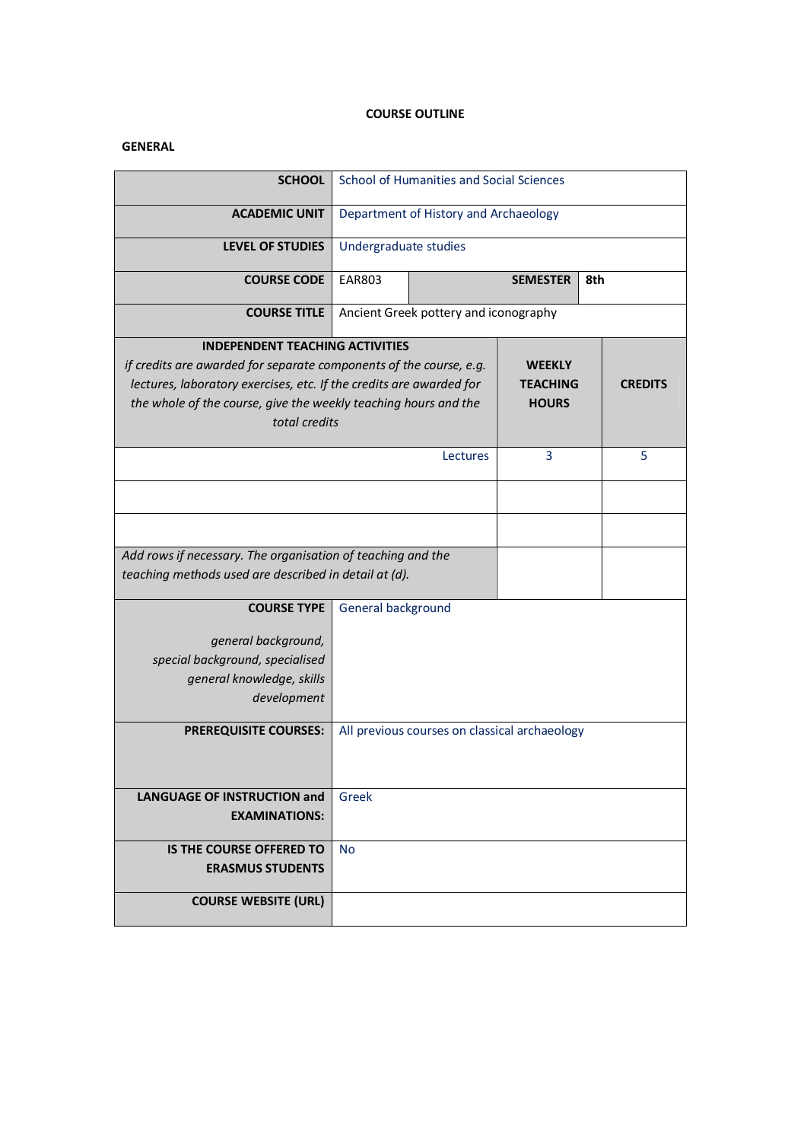## **COURSE OUTLINE**

## **GENERAL**

| <b>SCHOOL</b>                                                       |                                         | School of Humanities and Social Sciences      |                 |                |
|---------------------------------------------------------------------|-----------------------------------------|-----------------------------------------------|-----------------|----------------|
| <b>ACADEMIC UNIT</b>                                                | Department of History and Archaeology   |                                               |                 |                |
|                                                                     |                                         |                                               |                 |                |
| <b>LEVEL OF STUDIES</b>                                             |                                         | Undergraduate studies                         |                 |                |
| <b>COURSE CODE</b>                                                  | <b>EAR803</b><br><b>SEMESTER</b><br>8th |                                               |                 |                |
| <b>COURSE TITLE</b>                                                 | Ancient Greek pottery and iconography   |                                               |                 |                |
| <b>INDEPENDENT TEACHING ACTIVITIES</b>                              |                                         |                                               |                 |                |
| if credits are awarded for separate components of the course, e.g.  |                                         |                                               | <b>WEEKLY</b>   |                |
| lectures, laboratory exercises, etc. If the credits are awarded for |                                         |                                               | <b>TEACHING</b> | <b>CREDITS</b> |
| the whole of the course, give the weekly teaching hours and the     |                                         |                                               | <b>HOURS</b>    |                |
| total credits                                                       |                                         |                                               |                 |                |
|                                                                     |                                         | Lectures                                      | 3               | 5              |
|                                                                     |                                         |                                               |                 |                |
|                                                                     |                                         |                                               |                 |                |
|                                                                     |                                         |                                               |                 |                |
| Add rows if necessary. The organisation of teaching and the         |                                         |                                               |                 |                |
| teaching methods used are described in detail at (d).               |                                         |                                               |                 |                |
|                                                                     |                                         |                                               |                 |                |
| <b>COURSE TYPE</b>                                                  | General background                      |                                               |                 |                |
| general background,                                                 |                                         |                                               |                 |                |
| special background, specialised                                     |                                         |                                               |                 |                |
| general knowledge, skills                                           |                                         |                                               |                 |                |
| development                                                         |                                         |                                               |                 |                |
|                                                                     |                                         |                                               |                 |                |
| <b>PREREQUISITE COURSES:</b>                                        |                                         | All previous courses on classical archaeology |                 |                |
|                                                                     |                                         |                                               |                 |                |
|                                                                     |                                         |                                               |                 |                |
| <b>LANGUAGE OF INSTRUCTION and</b>                                  | Greek                                   |                                               |                 |                |
| <b>EXAMINATIONS:</b>                                                |                                         |                                               |                 |                |
| IS THE COURSE OFFERED TO                                            | <b>No</b>                               |                                               |                 |                |
| <b>ERASMUS STUDENTS</b>                                             |                                         |                                               |                 |                |
| <b>COURSE WEBSITE (URL)</b>                                         |                                         |                                               |                 |                |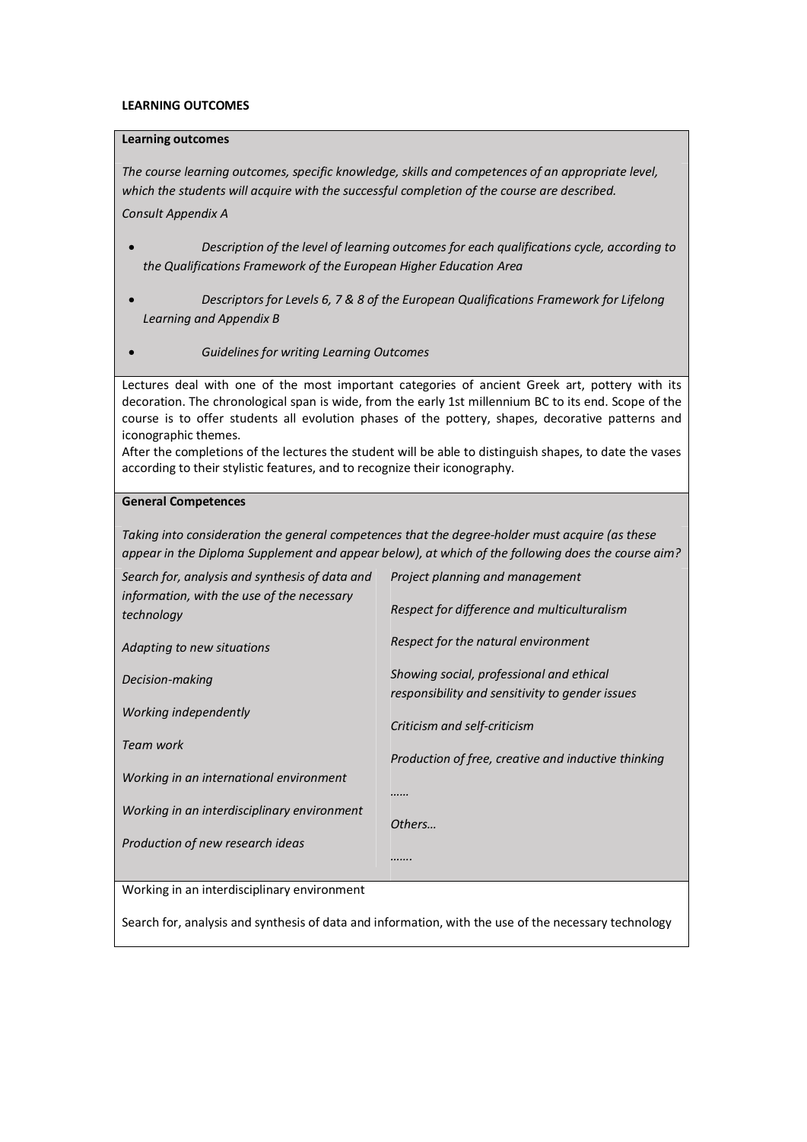### **LEARNING OUTCOMES**

### **Learning outcomes**

*The course learning outcomes, specific knowledge, skills and competences of an appropriate level, which the students will acquire with the successful completion of the course are described. Consult Appendix A* 

- · *Description of the level of learning outcomes for each qualifications cycle, according to the Qualifications Framework of the European Higher Education Area*
- · *Descriptors for Levels 6, 7 & 8 of the European Qualifications Framework for Lifelong Learning and Appendix B*
- · *Guidelines for writing Learning Outcomes*

Lectures deal with one of the most important categories of ancient Greek art, pottery with its decoration. The chronological span is wide, from the early 1st millennium BC to its end. Scope of the course is to offer students all evolution phases of the pottery, shapes, decorative patterns and iconographic themes.

After the completions of the lectures the student will be able to distinguish shapes, to date the vases according to their stylistic features, and to recognize their iconography.

### **General Competences**

*Taking into consideration the general competences that the degree-holder must acquire (as these appear in the Diploma Supplement and appear below), at which of the following does the course aim?*

| Search for, analysis and synthesis of data and<br>information, with the use of the necessary | Project planning and management                                                             |  |
|----------------------------------------------------------------------------------------------|---------------------------------------------------------------------------------------------|--|
| technology                                                                                   | Respect for difference and multiculturalism                                                 |  |
| Adapting to new situations                                                                   | Respect for the natural environment                                                         |  |
| Decision-making                                                                              | Showing social, professional and ethical<br>responsibility and sensitivity to gender issues |  |
| Working independently                                                                        | Criticism and self-criticism                                                                |  |
| Team work                                                                                    | Production of free, creative and inductive thinking                                         |  |
| Working in an international environment                                                      |                                                                                             |  |
| Working in an interdisciplinary environment                                                  | <br>Others                                                                                  |  |
| Production of new research ideas                                                             |                                                                                             |  |
|                                                                                              | .                                                                                           |  |

Working in an interdisciplinary environment

Search for, analysis and synthesis of data and information, with the use of the necessary technology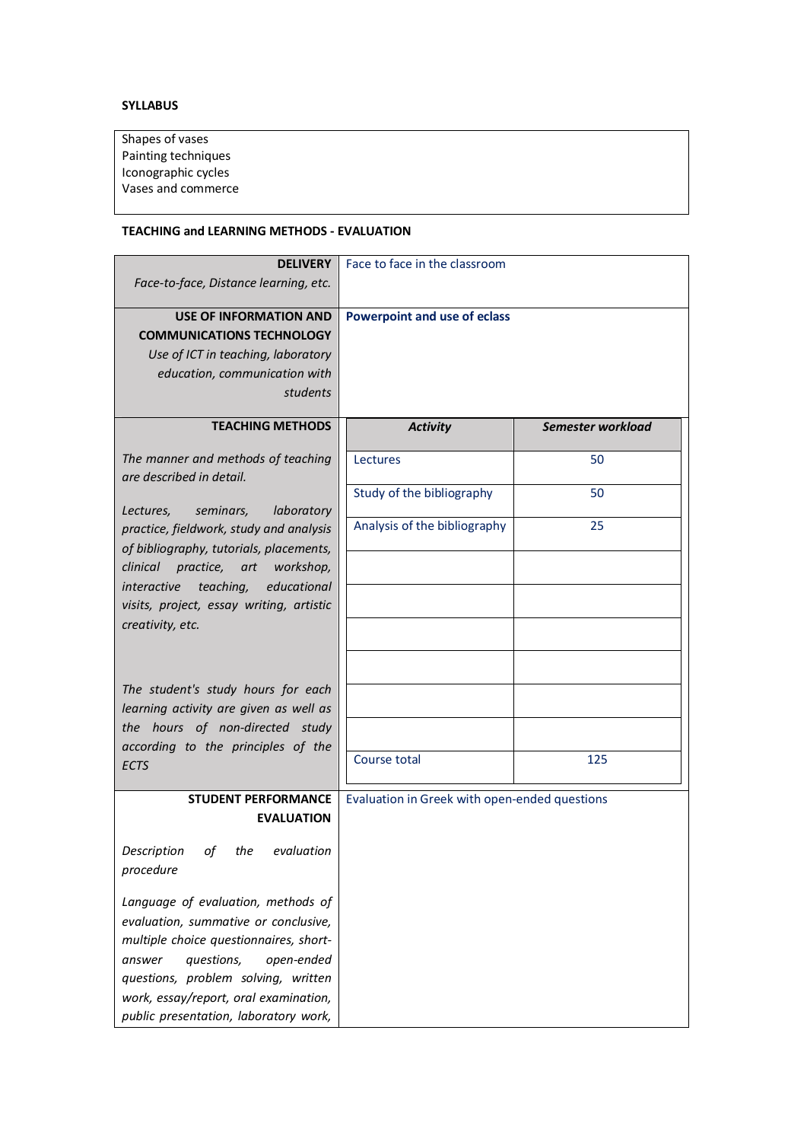# **SYLLABUS**

| Shapes of vases     |  |  |
|---------------------|--|--|
| Painting techniques |  |  |
| Iconographic cycles |  |  |
| Vases and commerce  |  |  |
|                     |  |  |

## **TEACHING and LEARNING METHODS - EVALUATION**

| <b>DELIVERY</b><br>Face-to-face, Distance learning, etc.                                   | Face to face in the classroom                 |                   |
|--------------------------------------------------------------------------------------------|-----------------------------------------------|-------------------|
|                                                                                            |                                               |                   |
| <b>USE OF INFORMATION AND</b>                                                              | <b>Powerpoint and use of eclass</b>           |                   |
| <b>COMMUNICATIONS TECHNOLOGY</b>                                                           |                                               |                   |
| Use of ICT in teaching, laboratory                                                         |                                               |                   |
| education, communication with                                                              |                                               |                   |
| students                                                                                   |                                               |                   |
| <b>TEACHING METHODS</b>                                                                    | <b>Activity</b>                               | Semester workload |
| The manner and methods of teaching<br>are described in detail.                             | Lectures                                      | 50                |
| laboratory<br>Lectures,<br>seminars,                                                       | Study of the bibliography                     | 50                |
| practice, fieldwork, study and analysis                                                    | Analysis of the bibliography                  | 25                |
| of bibliography, tutorials, placements,<br>clinical<br>practice,<br>workshop,<br>art       |                                               |                   |
| educational<br><i>interactive</i><br>teaching,<br>visits, project, essay writing, artistic |                                               |                   |
| creativity, etc.                                                                           |                                               |                   |
|                                                                                            |                                               |                   |
| The student's study hours for each<br>learning activity are given as well as               |                                               |                   |
| the hours of non-directed study<br>according to the principles of the                      |                                               |                   |
| ECTS                                                                                       | Course total                                  | 125               |
| <b>STUDENT PERFORMANCE</b>                                                                 | Evaluation in Greek with open-ended questions |                   |
| <b>EVALUATION</b>                                                                          |                                               |                   |
| Description<br>evaluation<br>οf<br>the<br>procedure                                        |                                               |                   |
| Language of evaluation, methods of<br>evaluation, summative or conclusive,                 |                                               |                   |
| multiple choice questionnaires, short-                                                     |                                               |                   |
| questions,<br>open-ended<br>answer<br>questions, problem solving, written                  |                                               |                   |
| work, essay/report, oral examination,<br>public presentation, laboratory work,             |                                               |                   |